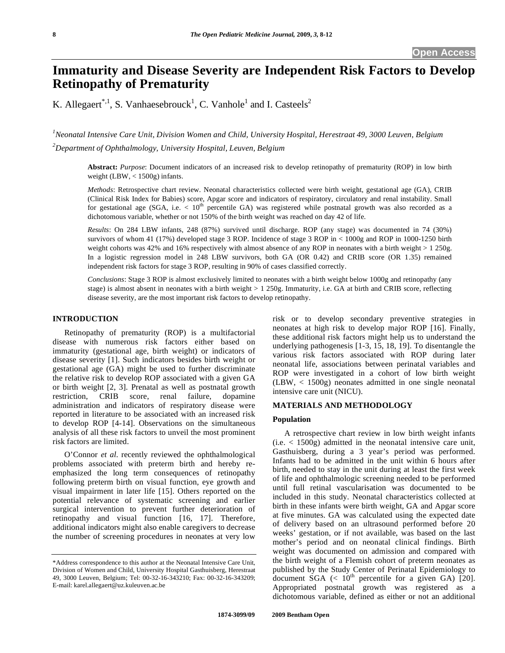# **Immaturity and Disease Severity are Independent Risk Factors to Develop Retinopathy of Prematurity**

K. Allegaert<sup>\*,1</sup>, S. Vanhaesebrouck<sup>1</sup>, C. Vanhole<sup>1</sup> and I. Casteels<sup>2</sup>

*1 Neonatal Intensive Care Unit, Division Women and Child, University Hospital, Herestraat 49, 3000 Leuven, Belgium 2 Department of Ophthalmology, University Hospital, Leuven, Belgium* 

**Abstract:** *Purpose*: Document indicators of an increased risk to develop retinopathy of prematurity (ROP) in low birth weight (LBW, < 1500g) infants.

*Methods*: Retrospective chart review. Neonatal characteristics collected were birth weight, gestational age (GA), CRIB (Clinical Risk Index for Babies) score, Apgar score and indicators of respiratory, circulatory and renal instability. Small for gestational age (SGA, i.e.  $\lt 10^{th}$  percentile GA) was registered while postnatal growth was also recorded as a dichotomous variable, whether or not 150% of the birth weight was reached on day 42 of life.

*Results*: On 284 LBW infants, 248 (87%) survived until discharge. ROP (any stage) was documented in 74 (30%) survivors of whom 41 (17%) developed stage 3 ROP. Incidence of stage 3 ROP in < 1000g and ROP in 1000-1250 birth weight cohorts was 42% and 16% respectively with almost absence of any ROP in neonates with a birth weight  $> 1250$ g. In a logistic regression model in 248 LBW survivors, both GA (OR 0.42) and CRIB score (OR 1.35) remained independent risk factors for stage 3 ROP, resulting in 90% of cases classified correctly.

*Conclusions*: Stage 3 ROP is almost exclusively limited to neonates with a birth weight below 1000g and retinopathy (any stage) is almost absent in neonates with a birth weight > 1 250g. Immaturity, i.e. GA at birth and CRIB score, reflecting disease severity, are the most important risk factors to develop retinopathy.

# **INTRODUCTION**

 Retinopathy of prematurity (ROP) is a multifactorial disease with numerous risk factors either based on immaturity (gestational age, birth weight) or indicators of disease severity [1]. Such indicators besides birth weight or gestational age (GA) might be used to further discriminate the relative risk to develop ROP associated with a given GA or birth weight [2, 3]. Prenatal as well as postnatal growth restriction, CRIB score, renal failure, dopamine administration and indicators of respiratory disease were reported in literature to be associated with an increased risk to develop ROP [4-14]. Observations on the simultaneous analysis of all these risk factors to unveil the most prominent risk factors are limited.

 O'Connor *et al*. recently reviewed the ophthalmological problems associated with preterm birth and hereby reemphasized the long term consequences of retinopathy following preterm birth on visual function, eye growth and visual impairment in later life [15]. Others reported on the potential relevance of systematic screening and earlier surgical intervention to prevent further deterioration of retinopathy and visual function [16, 17]. Therefore, additional indicators might also enable caregivers to decrease the number of screening procedures in neonates at very low

risk or to develop secondary preventive strategies in neonates at high risk to develop major ROP [16]. Finally, these additional risk factors might help us to understand the underlying pathogenesis [1-3, 15, 18, 19]. To disentangle the various risk factors associated with ROP during later neonatal life, associations between perinatal variables and ROP were investigated in a cohort of low birth weight (LBW, < 1500g) neonates admitted in one single neonatal intensive care unit (NICU).

## **MATERIALS AND METHODOLOGY**

#### **Population**

 A retrospective chart review in low birth weight infants (i.e. < 1500g) admitted in the neonatal intensive care unit, Gasthuisberg, during a 3 year's period was performed. Infants had to be admitted in the unit within 6 hours after birth, needed to stay in the unit during at least the first week of life and ophthalmologic screening needed to be performed until full retinal vascularisation was documented to be included in this study. Neonatal characteristics collected at birth in these infants were birth weight, GA and Apgar score at five minutes. GA was calculated using the expected date of delivery based on an ultrasound performed before 20 weeks' gestation, or if not available, was based on the last mother's period and on neonatal clinical findings. Birth weight was documented on admission and compared with the birth weight of a Flemish cohort of preterm neonates as published by the Study Center of Perinatal Epidemiology to document  $\text{SGA}$  (< 10<sup>th</sup> percentile for a given GA) [20]. Appropriated postnatal growth was registered as a dichotomous variable, defined as either or not an additional

<sup>\*</sup>Address correspondence to this author at the Neonatal Intensive Care Unit, Division of Women and Child, University Hospital Gasthuisberg, Herestraat 49, 3000 Leuven, Belgium; Tel: 00-32-16-343210; Fax: 00-32-16-343209; E-mail: karel.allegaert@uz.kuleuven.ac.be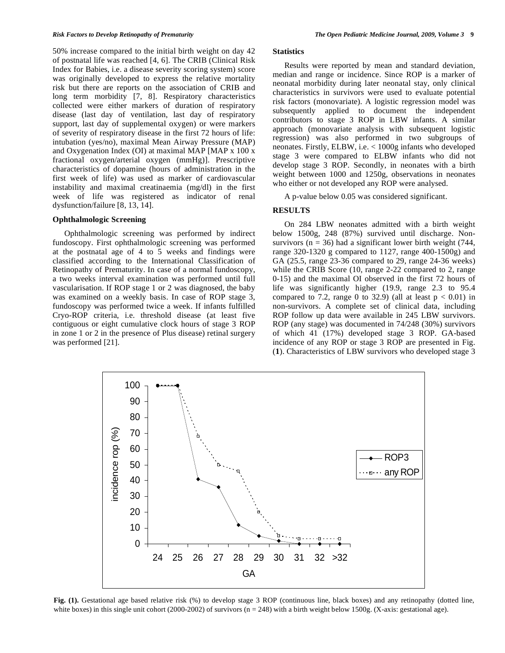50% increase compared to the initial birth weight on day 42 of postnatal life was reached [4, 6]. The CRIB (Clinical Risk Index for Babies, i.e. a disease severity scoring system) score was originally developed to express the relative mortality risk but there are reports on the association of CRIB and long term morbidity [7, 8]. Respiratory characteristics collected were either markers of duration of respiratory disease (last day of ventilation, last day of respiratory support, last day of supplemental oxygen) or were markers of severity of respiratory disease in the first 72 hours of life: intubation (yes/no), maximal Mean Airway Pressure (MAP) and Oxygenation Index (OI) at maximal MAP [MAP x 100 x fractional oxygen/arterial oxygen (mmHg)]. Prescriptive characteristics of dopamine (hours of administration in the first week of life) was used as marker of cardiovascular instability and maximal creatinaemia (mg/dl) in the first week of life was registered as indicator of renal dysfunction/failure [8, 13, 14].

## **Ophthalmologic Screening**

 Ophthalmologic screening was performed by indirect fundoscopy. First ophthalmologic screening was performed at the postnatal age of 4 to 5 weeks and findings were classified according to the International Classification of Retinopathy of Prematurity. In case of a normal fundoscopy, a two weeks interval examination was performed until full vascularisation. If ROP stage 1 or 2 was diagnosed, the baby was examined on a weekly basis. In case of ROP stage 3, fundoscopy was performed twice a week. If infants fulfilled Cryo-ROP criteria, i.e. threshold disease (at least five contiguous or eight cumulative clock hours of stage 3 ROP in zone 1 or 2 in the presence of Plus disease) retinal surgery was performed [21].

#### **Statistics**

 Results were reported by mean and standard deviation, median and range or incidence. Since ROP is a marker of neonatal morbidity during later neonatal stay, only clinical characteristics in survivors were used to evaluate potential risk factors (monovariate). A logistic regression model was subsequently applied to document the independent contributors to stage 3 ROP in LBW infants. A similar approach (monovariate analysis with subsequent logistic regression) was also performed in two subgroups of neonates. Firstly, ELBW, i.e. < 1000g infants who developed stage 3 were compared to ELBW infants who did not develop stage 3 ROP. Secondly, in neonates with a birth weight between 1000 and 1250g, observations in neonates who either or not developed any ROP were analysed.

A p-value below 0.05 was considered significant.

# **RESULTS**

 On 284 LBW neonates admitted with a birth weight below 1500g, 248 (87%) survived until discharge. Nonsurvivors ( $n = 36$ ) had a significant lower birth weight (744, range 320-1320 g compared to 1127, range 400-1500g) and GA (25.5, range 23-36 compared to 29, range 24-36 weeks) while the CRIB Score (10, range 2-22 compared to 2, range 0-15) and the maximal OI observed in the first 72 hours of life was significantly higher (19.9, range 2.3 to 95.4 compared to 7.2, range 0 to 32.9) (all at least  $p < 0.01$ ) in non-survivors. A complete set of clinical data, including ROP follow up data were available in 245 LBW survivors. ROP (any stage) was documented in 74/248 (30%) survivors of which 41 (17%) developed stage 3 ROP. GA-based incidence of any ROP or stage 3 ROP are presented in Fig. (**1**). Characteristics of LBW survivors who developed stage 3



**Fig. (1).** Gestational age based relative risk (%) to develop stage 3 ROP (continuous line, black boxes) and any retinopathy (dotted line, white boxes) in this single unit cohort (2000-2002) of survivors ( $n = 248$ ) with a birth weight below 1500g. (X-axis: gestational age).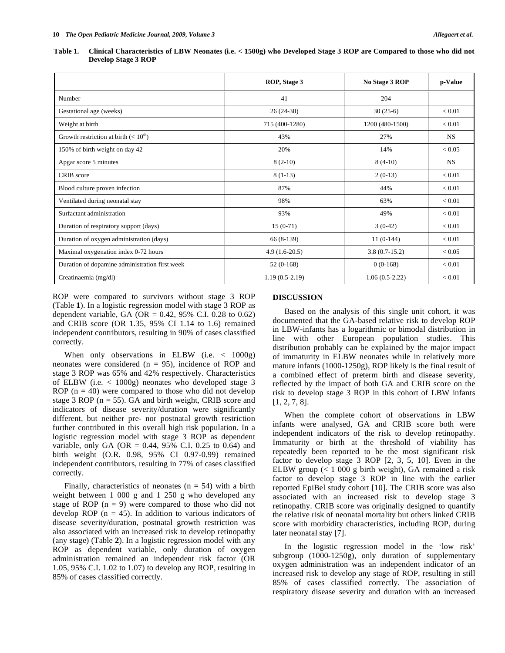| Table 1. | Clinical Characteristics of LBW Neonates (i.e. $<$ 1500g) who Developed Stage 3 ROP are Compared to those who did not |  |
|----------|-----------------------------------------------------------------------------------------------------------------------|--|
|          | <b>Develop Stage 3 ROP</b>                                                                                            |  |

|                                                | ROP, Stage 3     | No Stage 3 ROP   | p-Value    |
|------------------------------------------------|------------------|------------------|------------|
| Number                                         | 41               | 204              |            |
| Gestational age (weeks)                        | $26(24-30)$      | $30(25-6)$       | ${}< 0.01$ |
| Weight at birth                                | 715 (400-1280)   | 1200 (480-1500)  | ${}< 0.01$ |
| Growth restriction at birth $(< 10th)$         | 43%              | 27%              | <b>NS</b>  |
| 150% of birth weight on day 42                 | 20%              | 14%              | ${}< 0.05$ |
| Apgar score 5 minutes                          | $8(2-10)$        | $8(4-10)$        | <b>NS</b>  |
| CRIB score                                     | $8(1-13)$        | $2(0-13)$        | < 0.01     |
| Blood culture proven infection                 | 87%              | 44%              | ${}< 0.01$ |
| Ventilated during neonatal stay                | 98%              | 63%              | ${}< 0.01$ |
| Surfactant administration                      | 93%              | 49%              | ${}< 0.01$ |
| Duration of respiratory support (days)         | $15(0-71)$       | $3(0-42)$        | < 0.01     |
| Duration of oxygen administration (days)       | 66 (8-139)       | $11(0-144)$      | ${}< 0.01$ |
| Maximal oxygenation index 0-72 hours           | $4.9(1.6-20.5)$  | $3.8(0.7-15.2)$  | ${}< 0.05$ |
| Duration of dopamine administration first week | $52(0-168)$      | $0(0-168)$       | ${}< 0.01$ |
| Creatinaemia (mg/dl)                           | $1.19(0.5-2.19)$ | $1.06(0.5-2.22)$ | ${}< 0.01$ |

ROP were compared to survivors without stage 3 ROP (Table **1**). In a logistic regression model with stage 3 ROP as dependent variable, GA (OR =  $0.42$ , 95% C.I. 0.28 to 0.62) and CRIB score (OR 1.35, 95% CI 1.14 to 1.6) remained independent contributors, resulting in 90% of cases classified correctly.

When only observations in ELBW (i.e.  $\langle 1000 \text{g} \rangle$ ) neonates were considered ( $n = 95$ ), incidence of ROP and stage 3 ROP was 65% and 42% respectively. Characteristics of ELBW (i.e. < 1000g) neonates who developed stage 3 ROP  $(n = 40)$  were compared to those who did not develop stage 3 ROP ( $n = 55$ ). GA and birth weight, CRIB score and indicators of disease severity/duration were significantly different, but neither pre- nor postnatal growth restriction further contributed in this overall high risk population. In a logistic regression model with stage 3 ROP as dependent variable, only GA (OR =  $0.44$ , 95% C.I. 0.25 to 0.64) and birth weight (O.R. 0.98, 95% CI 0.97-0.99) remained independent contributors, resulting in 77% of cases classified correctly.

Finally, characteristics of neonates  $(n = 54)$  with a birth weight between 1 000 g and 1 250 g who developed any stage of ROP  $(n = 9)$  were compared to those who did not develop ROP ( $n = 45$ ). In addition to various indicators of disease severity/duration, postnatal growth restriction was also associated with an increased risk to develop retinopathy (any stage) (Table **2**). In a logistic regression model with any ROP as dependent variable, only duration of oxygen administration remained an independent risk factor (OR 1.05, 95% C.I. 1.02 to 1.07) to develop any ROP, resulting in 85% of cases classified correctly.

# **DISCUSSION**

 Based on the analysis of this single unit cohort, it was documented that the GA-based relative risk to develop ROP in LBW-infants has a logarithmic or bimodal distribution in line with other European population studies. This distribution probably can be explained by the major impact of immaturity in ELBW neonates while in relatively more mature infants (1000-1250g), ROP likely is the final result of a combined effect of preterm birth and disease severity, reflected by the impact of both GA and CRIB score on the risk to develop stage 3 ROP in this cohort of LBW infants [1, 2, 7, 8].

 When the complete cohort of observations in LBW infants were analysed, GA and CRIB score both were independent indicators of the risk to develop retinopathy. Immaturity or birth at the threshold of viability has repeatedly been reported to be the most significant risk factor to develop stage 3 ROP [2, 3, 5, 10]. Even in the ELBW group (< 1 000 g birth weight), GA remained a risk factor to develop stage 3 ROP in line with the earlier reported EpiBel study cohort [10]. The CRIB score was also associated with an increased risk to develop stage 3 retinopathy. CRIB score was originally designed to quantify the relative risk of neonatal mortality but others linked CRIB score with morbidity characteristics, including ROP, during later neonatal stay [7].

 In the logistic regression model in the 'low risk' subgroup (1000-1250g), only duration of supplementary oxygen administration was an independent indicator of an increased risk to develop any stage of ROP, resulting in still 85% of cases classified correctly. The association of respiratory disease severity and duration with an increased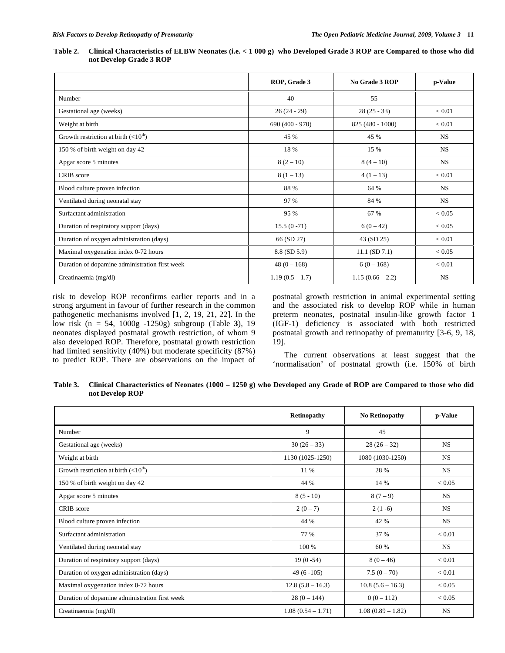| <b>Table 2.</b> |                         | Clinical Characteristics of ELBW Neonates (i.e. $< 1000 g$ ) who Developed Grade 3 ROP are Compared to those who did |
|-----------------|-------------------------|----------------------------------------------------------------------------------------------------------------------|
|                 | not Develop Grade 3 ROP |                                                                                                                      |

|                                                | ROP, Grade 3      | No Grade 3 ROP     | p-Value    |
|------------------------------------------------|-------------------|--------------------|------------|
| Number                                         | 40                | 55                 |            |
| Gestational age (weeks)                        | $26(24-29)$       | $28(25-33)$        | < 0.01     |
| Weight at birth                                | $690(400 - 970)$  | 825 (480 - 1000)   | ${}< 0.01$ |
| Growth restriction at birth $(<10th)$          | 45 %              | 45 %               | <b>NS</b>  |
| 150 % of birth weight on day 42                | 18 %              | 15 %               | <b>NS</b>  |
| Apgar score 5 minutes                          | $8(2-10)$         | $8(4-10)$          | <b>NS</b>  |
| CRIB score                                     | $8(1-13)$         | $4(1-13)$          | < 0.01     |
| Blood culture proven infection                 | 88 %              | 64 %               | <b>NS</b>  |
| Ventilated during neonatal stay                | 97 %              | 84 %               | <b>NS</b>  |
| Surfactant administration                      | 95 %              | 67 %               | < 0.05     |
| Duration of respiratory support (days)         | $15.5(0-71)$      | $6(0-42)$          | < 0.05     |
| Duration of oxygen administration (days)       | 66 (SD 27)        | 43 (SD 25)         | ${}< 0.01$ |
| Maximal oxygenation index 0-72 hours           | 8.8 (SD 5.9)      | $11.1$ (SD $7.1$ ) | < 0.05     |
| Duration of dopamine administration first week | $48(0 - 168)$     | $6(0-168)$         | ${}< 0.01$ |
| Creatinaemia (mg/dl)                           | $1.19(0.5 - 1.7)$ | $1.15(0.66 - 2.2)$ | <b>NS</b>  |

risk to develop ROP reconfirms earlier reports and in a strong argument in favour of further research in the common pathogenetic mechanisms involved [1, 2, 19, 21, 22]. In the low risk (n = 54, 1000g -1250g) subgroup (Table **3**), 19 neonates displayed postnatal growth restriction, of whom 9 also developed ROP. Therefore, postnatal growth restriction had limited sensitivity (40%) but moderate specificity (87%) to predict ROP. There are observations on the impact of postnatal growth restriction in animal experimental setting and the associated risk to develop ROP while in human preterm neonates, postnatal insulin-like growth factor 1 (IGF-1) deficiency is associated with both restricted postnatal growth and retinopathy of prematurity [3-6, 9, 18, 19].

 The current observations at least suggest that the 'normalisation' of postnatal growth (i.e. 150% of birth

**Table 3. Clinical Characteristics of Neonates (1000 – 1250 g) who Developed any Grade of ROP are Compared to those who did not Develop ROP** 

|                                                | <b>Retinopathy</b>  | <b>No Retinopathy</b> | p-Value       |
|------------------------------------------------|---------------------|-----------------------|---------------|
| Number                                         | 9                   | 45                    |               |
| Gestational age (weeks)                        | $30(26-33)$         | $28(26-32)$           | <b>NS</b>     |
| Weight at birth                                | 1130 (1025-1250)    | 1080 (1030-1250)      | <b>NS</b>     |
| Growth restriction at birth $(<10th)$          | 11 %                | 28 %                  | <b>NS</b>     |
| 150 % of birth weight on day 42                | 44 %                | 14 %                  | ${}< 0.05$    |
| Apgar score 5 minutes                          | $8(5-10)$           | $8(7-9)$              | <b>NS</b>     |
| CRIB score                                     | $2(0-7)$            | $2(1-6)$              | <b>NS</b>     |
| Blood culture proven infection                 | 44 %                | 42 %                  | <b>NS</b>     |
| Surfactant administration                      | 77 %                | 37 %                  | ${}_{< 0.01}$ |
| Ventilated during neonatal stay                | 100 %               | 60 %                  | <b>NS</b>     |
| Duration of respiratory support (days)         | $19(0-54)$          | $8(0-46)$             | < 0.01        |
| Duration of oxygen administration (days)       | $49(6-105)$         | $7.5(0 - 70)$         | < 0.01        |
| Maximal oxygenation index 0-72 hours           | $12.8(5.8 - 16.3)$  | $10.8(5.6 - 16.3)$    | < 0.05        |
| Duration of dopamine administration first week | $28(0 - 144)$       | $0(0-112)$            | ${}< 0.05$    |
| Creatinaemia (mg/dl)                           | $1.08(0.54 - 1.71)$ | $1.08(0.89 - 1.82)$   | <b>NS</b>     |